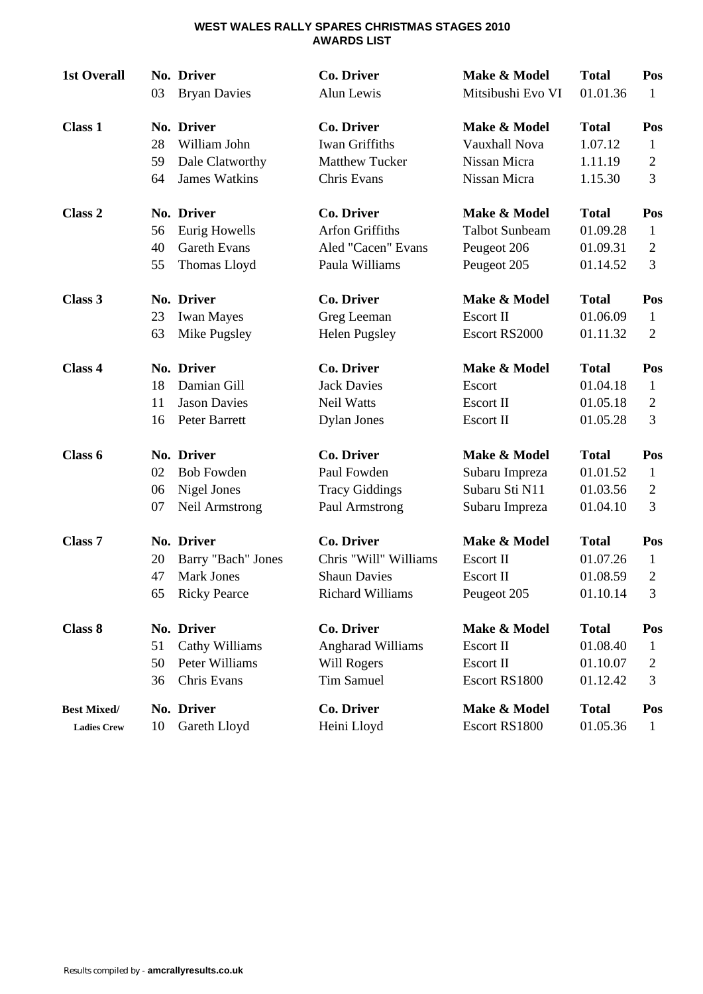#### **WEST WALES RALLY SPARES CHRISTMAS STAGES 2010 AWARDS LIST**

| <b>1st Overall</b> | 03 | No. Driver<br><b>Bryan Davies</b> | <b>Co. Driver</b><br>Alun Lewis | Make & Model<br>Mitsibushi Evo VI | <b>Total</b><br>01.01.36 | Pos<br>1       |
|--------------------|----|-----------------------------------|---------------------------------|-----------------------------------|--------------------------|----------------|
| <b>Class 1</b>     |    | No. Driver                        | <b>Co. Driver</b>               | Make & Model                      | <b>Total</b>             | Pos            |
|                    | 28 | William John                      | Iwan Griffiths                  | Vauxhall Nova                     | 1.07.12                  | $\mathbf{1}$   |
|                    | 59 | Dale Clatworthy                   | <b>Matthew Tucker</b>           | Nissan Micra                      | 1.11.19                  | $\overline{2}$ |
|                    | 64 | <b>James Watkins</b>              | Chris Evans                     | Nissan Micra                      | 1.15.30                  | 3              |
| Class <sub>2</sub> |    | No. Driver                        | <b>Co. Driver</b>               | Make & Model                      | <b>Total</b>             | Pos            |
|                    | 56 | Eurig Howells                     | <b>Arfon Griffiths</b>          | <b>Talbot Sunbeam</b>             | 01.09.28                 | $\mathbf{1}$   |
|                    | 40 | <b>Gareth Evans</b>               | Aled "Cacen" Evans              | Peugeot 206                       | 01.09.31                 | $\overline{2}$ |
|                    | 55 | Thomas Lloyd                      | Paula Williams                  | Peugeot 205                       | 01.14.52                 | 3              |
| Class 3            |    | No. Driver                        | <b>Co. Driver</b>               | Make & Model                      | <b>Total</b>             | Pos            |
|                    | 23 | <b>Iwan Mayes</b>                 | Greg Leeman                     | Escort II                         | 01.06.09                 | $\mathbf{1}$   |
|                    | 63 | Mike Pugsley                      | Helen Pugsley                   | Escort RS2000                     | 01.11.32                 | $\overline{2}$ |
| Class 4            |    | No. Driver                        | <b>Co. Driver</b>               | Make & Model                      | <b>Total</b>             | Pos            |
|                    | 18 | Damian Gill                       | <b>Jack Davies</b>              | Escort                            | 01.04.18                 | 1              |
|                    | 11 | <b>Jason Davies</b>               | <b>Neil Watts</b>               | <b>Escort II</b>                  | 01.05.18                 | $\overline{2}$ |
|                    | 16 | Peter Barrett                     | <b>Dylan Jones</b>              | Escort II                         | 01.05.28                 | 3              |
| Class 6            |    | No. Driver                        | <b>Co. Driver</b>               | Make & Model                      | <b>Total</b>             | Pos            |
|                    | 02 | <b>Bob Fowden</b>                 | Paul Fowden                     | Subaru Impreza                    | 01.01.52                 | $\mathbf{1}$   |
|                    | 06 | Nigel Jones                       | <b>Tracy Giddings</b>           | Subaru Sti N11                    | 01.03.56                 | $\overline{2}$ |
|                    | 07 | Neil Armstrong                    | Paul Armstrong                  | Subaru Impreza                    | 01.04.10                 | 3              |
| Class <sub>7</sub> |    | No. Driver                        | <b>Co. Driver</b>               | Make & Model                      | <b>Total</b>             | Pos            |
|                    | 20 | Barry "Bach" Jones                | Chris "Will" Williams           | Escort II                         | 01.07.26                 | $\mathbf{1}$   |
|                    | 47 | <b>Mark Jones</b>                 | <b>Shaun Davies</b>             | <b>Escort II</b>                  | 01.08.59                 | $\overline{2}$ |
|                    | 65 | <b>Ricky Pearce</b>               | Richard Williams                | Peugeot 205                       | 01.10.14                 | 3              |
| <b>Class 8</b>     |    | No. Driver                        | <b>Co. Driver</b>               | Make & Model                      | <b>Total</b>             | Pos            |
|                    | 51 | Cathy Williams                    | <b>Angharad Williams</b>        | Escort II                         | 01.08.40                 | $\mathbf{1}$   |
|                    | 50 | Peter Williams                    | Will Rogers                     | Escort II                         | 01.10.07                 | 2              |
|                    | 36 | Chris Evans                       | <b>Tim Samuel</b>               | Escort RS1800                     | 01.12.42                 | 3              |
| <b>Best Mixed/</b> |    | No. Driver                        | <b>Co. Driver</b>               | Make & Model                      | <b>Total</b>             | Pos            |
| <b>Ladies Crew</b> | 10 | Gareth Lloyd                      | Heini Lloyd                     | Escort RS1800                     | 01.05.36                 | 1              |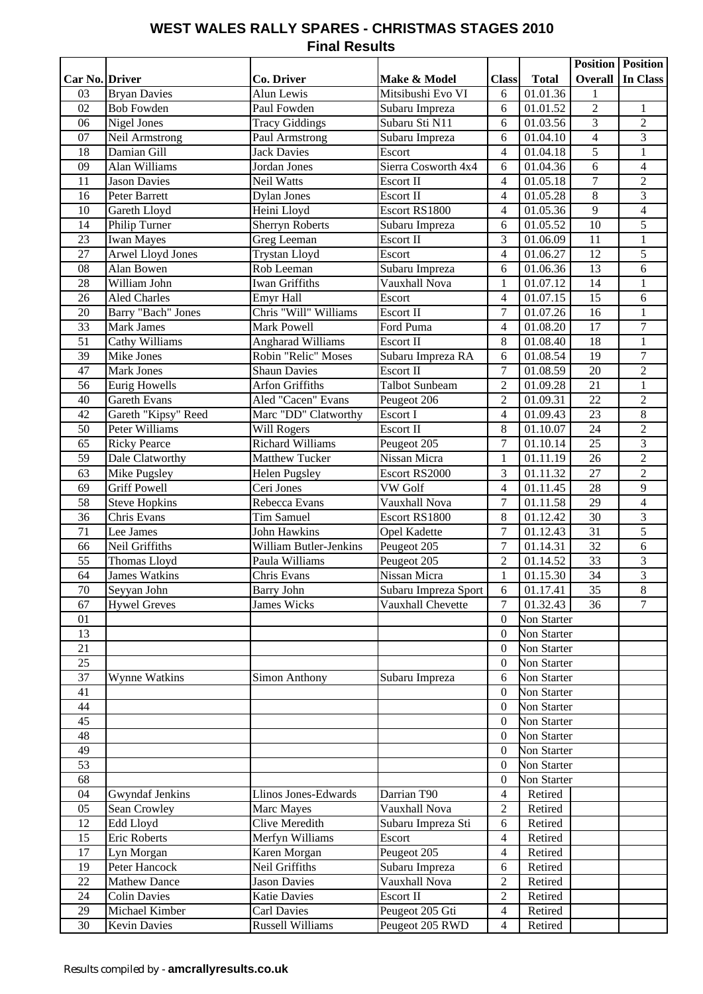### **WEST WALES RALLY SPARES - CHRISTMAS STAGES 2010 Final Results**

|                 |                             |                                       |                        |                          |                      | <b>Position</b> Position |                                  |
|-----------------|-----------------------------|---------------------------------------|------------------------|--------------------------|----------------------|--------------------------|----------------------------------|
| Car No. Driver  |                             | <b>Co. Driver</b>                     | Make & Model           | <b>Class</b>             | <b>Total</b>         | Overall                  | In Class                         |
| 03              | <b>Bryan Davies</b>         | Alun Lewis                            | Mitsibushi Evo VI      | 6                        | 01.01.36             | 1                        |                                  |
| 02              | <b>Bob Fowden</b>           | Paul Fowden                           | Subaru Impreza         | 6                        | 01.01.52             | $\overline{2}$           | $\mathbf{1}$                     |
| 06              | Nigel Jones                 | <b>Tracy Giddings</b>                 | Subaru Sti N11         | 6                        | 01.03.56             | 3                        | $\sqrt{2}$                       |
| 07              | Neil Armstrong              | Paul Armstrong                        | Subaru Impreza         | 6                        | 01.04.10             | $\overline{4}$           | $\overline{3}$                   |
| 18              | Damian Gill                 | <b>Jack Davies</b>                    | Escort                 | 4                        | 01.04.18             | 5                        | $\mathbf{1}$                     |
| 09              | Alan Williams               | Jordan Jones                          | Sierra Cosworth 4x4    | 6                        | 01.04.36             | 6                        | $\overline{4}$                   |
| 11              | <b>Jason Davies</b>         | Neil Watts                            | Escort II<br>Escort II | 4                        | 01.05.18             | $\tau$<br>$\overline{8}$ | $\overline{2}$<br>$\overline{3}$ |
| 16<br>10        | Peter Barrett               | <b>Dylan Jones</b>                    | Escort RS1800          | 4                        | 01.05.28             | $\overline{9}$           | $\overline{4}$                   |
| 14              | Gareth Lloyd                | Heini Lloyd<br><b>Sherryn Roberts</b> |                        | 4                        | 01.05.36             | 10                       | 5                                |
|                 | Philip Turner<br>Iwan Mayes |                                       | Subaru Impreza         | 6                        | 01.05.52             |                          |                                  |
| 23<br>27        | <b>Arwel Lloyd Jones</b>    | Greg Leeman<br><b>Trystan Lloyd</b>   | Escort II<br>Escort    | 3<br>$\overline{4}$      | 01.06.09<br>01.06.27 | 11<br>12                 | $\,1\,$<br>$\overline{5}$        |
| 08              | Alan Bowen                  | Rob Leeman                            | Subaru Impreza         | 6                        | 01.06.36             | 13                       | 6                                |
| 28              | William John                | <b>Iwan Griffiths</b>                 | Vauxhall Nova          | $\mathbf{1}$             | 01.07.12             | 14                       | $\mathbf{1}$                     |
| 26              | <b>Aled Charles</b>         | <b>Emyr Hall</b>                      | Escort                 | 4                        | 01.07.15             | 15                       | 6                                |
| 20              | Barry "Bach" Jones          | Chris "Will" Williams                 | Escort II              | $\overline{7}$           | 01.07.26             | $\overline{16}$          | $\mathbf{1}$                     |
| $\overline{33}$ | <b>Mark James</b>           | <b>Mark Powell</b>                    | Ford Puma              | 4                        | 01.08.20             | $\overline{17}$          | $\tau$                           |
| $\overline{51}$ | Cathy Williams              | <b>Angharad Williams</b>              | <b>Escort II</b>       | 8                        | 01.08.40             | $\overline{18}$          | $\mathbf{1}$                     |
| $\overline{39}$ | Mike Jones                  | Robin "Relic" Moses                   | Subaru Impreza RA      | 6                        | 01.08.54             | $\overline{19}$          | $\overline{7}$                   |
| 47              | Mark Jones                  | <b>Shaun Davies</b>                   | <b>Escort II</b>       | $\overline{7}$           | 01.08.59             | $\overline{20}$          | $\overline{2}$                   |
| $\overline{56}$ | Eurig Howells               | <b>Arfon Griffiths</b>                | <b>Talbot Sunbeam</b>  | $\overline{2}$           | 01.09.28             | $\overline{21}$          | $\mathbf{1}$                     |
| 40              | Gareth Evans                | Aled "Cacen" Evans                    | Peugeot 206            | $\overline{2}$           | 01.09.31             | 22                       | $\sqrt{2}$                       |
| 42              | Gareth "Kipsy" Reed         | Marc "DD" Clatworthy                  | Escort I               | 4                        | 01.09.43             | $\overline{23}$          | $\overline{8}$                   |
| 50              | Peter Williams              | Will Rogers                           | Escort II              | 8                        | 01.10.07             | 24                       | $\overline{2}$                   |
| 65              | <b>Ricky Pearce</b>         | Richard Williams                      | Peugeot 205            | $\overline{7}$           | 01.10.14             | $\overline{25}$          | $\overline{3}$                   |
| 59              | Dale Clatworthy             | <b>Matthew Tucker</b>                 | Nissan Micra           | $\mathbf{1}$             | 01.11.19             | 26                       | $\overline{c}$                   |
| 63              | Mike Pugsley                | <b>Helen Pugsley</b>                  | Escort RS2000          | 3                        | 01.11.32             | 27                       | $\sqrt{2}$                       |
| 69              | <b>Griff Powell</b>         | Ceri Jones                            | VW Golf                | 4                        | 01.11.45             | $28\,$                   | $\overline{9}$                   |
| 58              | Steve Hopkins               | Rebecca Evans                         | Vauxhall Nova          | $\boldsymbol{7}$         | 01.11.58             | 29                       | $\overline{4}$                   |
| 36              | Chris Evans                 | Tim Samuel                            | Escort RS1800          | 8                        | 01.12.42             | 30                       | 3                                |
| 71              | Lee James                   | <b>John Hawkins</b>                   | <b>Opel Kadette</b>    | $\overline{7}$           | 01.12.43             | 31                       | 5                                |
| 66              | Neil Griffiths              | <b>William Butler-Jenkins</b>         | Peugeot 205            | 7                        | 01.14.31             | 32                       | 6                                |
| 55              | Thomas Lloyd                | Paula Williams                        | Peugeot 205            | $\overline{2}$           | 01.14.52             | 33                       | $\mathfrak{Z}$                   |
| 64              | <b>James Watkins</b>        | Chris Evans                           | Nissan Micra           | $\mathbf{1}$             | 01.15.30             | 34                       | 3                                |
| 70              | Seyyan John                 | <b>Barry John</b>                     | Subaru Impreza Sport   | 6                        | 01.17.41             | 35                       | 8                                |
| 67              | <b>Hywel Greves</b>         | <b>James Wicks</b>                    | Vauxhall Chevette      | $\overline{7}$           | 01.32.43             | 36                       | $\overline{7}$                   |
| 01              |                             |                                       |                        | $\boldsymbol{0}$         | <b>Non Starter</b>   |                          |                                  |
| 13              |                             |                                       |                        | $\boldsymbol{0}$         | Non Starter          |                          |                                  |
| 21              |                             |                                       |                        | $\boldsymbol{0}$         | <b>Non Starter</b>   |                          |                                  |
| 25              |                             |                                       |                        | $\boldsymbol{0}$         | <b>Non Starter</b>   |                          |                                  |
| 37              | Wynne Watkins               | <b>Simon Anthony</b>                  | Subaru Impreza         | 6                        | <b>Non Starter</b>   |                          |                                  |
| 41              |                             |                                       |                        | $\boldsymbol{0}$         | <b>Non Starter</b>   |                          |                                  |
| 44              |                             |                                       |                        | $\boldsymbol{0}$         | <b>Non Starter</b>   |                          |                                  |
| 45              |                             |                                       |                        | $\boldsymbol{0}$         | <b>Non Starter</b>   |                          |                                  |
| 48              |                             |                                       |                        | $\boldsymbol{0}$         | <b>Non Starter</b>   |                          |                                  |
| 49              |                             |                                       |                        | $\boldsymbol{0}$         | <b>Non Starter</b>   |                          |                                  |
| $\overline{53}$ |                             |                                       |                        | $\boldsymbol{0}$         | <b>Non Starter</b>   |                          |                                  |
| 68              |                             |                                       |                        | $\boldsymbol{0}$         | <b>Non Starter</b>   |                          |                                  |
| 04              | Gwyndaf Jenkins             | Llinos Jones-Edwards                  | Darrian T90            | 4                        | Retired              |                          |                                  |
| 05              | Sean Crowley                | Marc Mayes                            | Vauxhall Nova          | $\overline{c}$           | Retired              |                          |                                  |
| 12              | Edd Lloyd                   | <b>Clive Meredith</b>                 | Subaru Impreza Sti     | 6                        | Retired              |                          |                                  |
| 15              | <b>Eric Roberts</b>         | Merfyn Williams                       | Escort                 | 4                        | Retired              |                          |                                  |
| $\overline{17}$ | Lyn Morgan                  | Karen Morgan                          | Peugeot 205            | 4                        | Retired              |                          |                                  |
| 19              | Peter Hancock               | Neil Griffiths                        | Subaru Impreza         | 6                        | Retired              |                          |                                  |
| 22              | <b>Mathew Dance</b>         | <b>Jason Davies</b>                   | Vauxhall Nova          | $\overline{c}$           | Retired              |                          |                                  |
| 24              | <b>Colin Davies</b>         | <b>Katie Davies</b>                   | Escort II              | $\overline{c}$           | Retired              |                          |                                  |
| 29              | Michael Kimber              | Carl Davies                           | Peugeot 205 Gti        | $\overline{\mathcal{L}}$ | Retired              |                          |                                  |
| 30              | <b>Kevin Davies</b>         | <b>Russell Williams</b>               | Peugeot 205 RWD        | 4                        | Retired              |                          |                                  |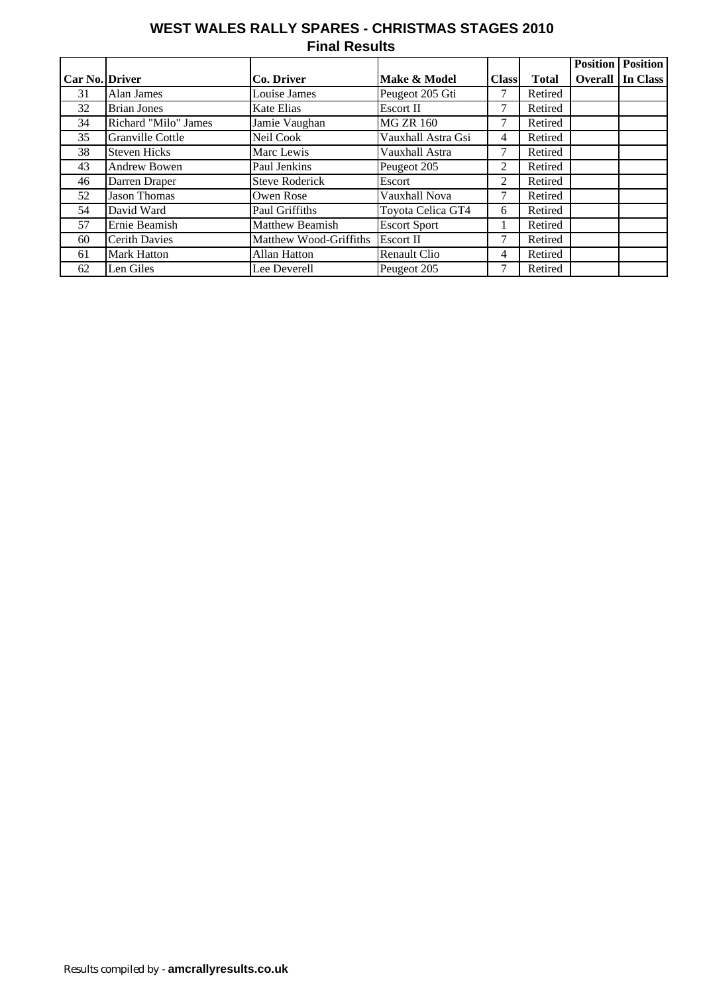## **WEST WALES RALLY SPARES - CHRISTMAS STAGES 2010 Final Results**

|                |                         |                        |                     |                |              | <b>Position</b> | <b>Position</b> |
|----------------|-------------------------|------------------------|---------------------|----------------|--------------|-----------------|-----------------|
| Car No. Driver |                         | Co. Driver             | Make & Model        | <b>Class</b>   | <b>Total</b> | <b>Overall</b>  | In Class        |
| 31             | Alan James              | Louise James           | Peugeot 205 Gti     |                | Retired      |                 |                 |
| 32             | <b>Brian Jones</b>      | Kate Elias             | <b>Escort II</b>    |                | Retired      |                 |                 |
| 34             | Richard "Milo" James    | Jamie Vaughan          | <b>MG ZR 160</b>    | 7              | Retired      |                 |                 |
| 35             | <b>Granville Cottle</b> | Neil Cook              | Vauxhall Astra Gsi  | 4              | Retired      |                 |                 |
| 38             | <b>Steven Hicks</b>     | Marc Lewis             | Vauxhall Astra      | 7              | Retired      |                 |                 |
| 43             | Andrew Bowen            | Paul Jenkins           | Peugeot 205         | 2              | Retired      |                 |                 |
| 46             | Darren Draper           | <b>Steve Roderick</b>  | Escort              | $\mathfrak{D}$ | Retired      |                 |                 |
| 52             | <b>Jason Thomas</b>     | Owen Rose              | Vauxhall Nova       | 7              | Retired      |                 |                 |
| 54             | David Ward              | Paul Griffiths         | Toyota Celica GT4   | 6              | Retired      |                 |                 |
| 57             | Ernie Beamish           | <b>Matthew Beamish</b> | <b>Escort Sport</b> |                | Retired      |                 |                 |
| 60             | <b>Cerith Davies</b>    | Matthew Wood-Griffiths | <b>Escort II</b>    | 7              | Retired      |                 |                 |
| 61             | <b>Mark Hatton</b>      | Allan Hatton           | <b>Renault Clio</b> | 4              | Retired      |                 |                 |
| 62             | Len Giles               | Lee Deverell           | Peugeot 205         |                | Retired      |                 |                 |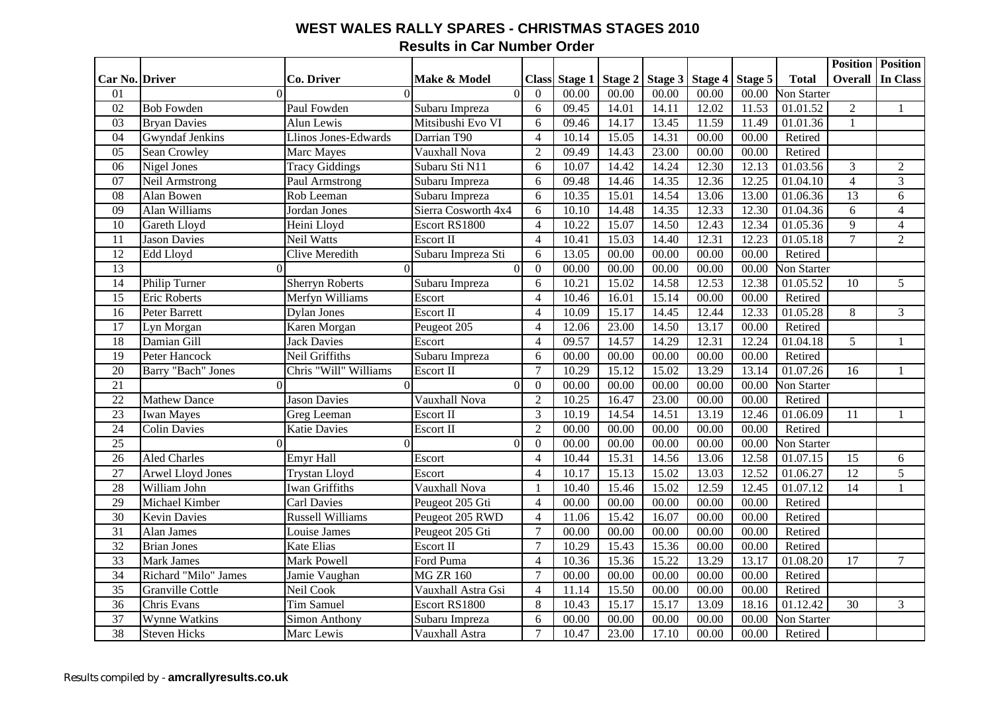#### **WEST WALES RALLY SPARES - CHRISTMAS STAGES 2010 Results in Car Number Order**

|                 |                         |                         |                     |                |         |         |                   |       |         |                    | <b>Position</b> Position |                         |
|-----------------|-------------------------|-------------------------|---------------------|----------------|---------|---------|-------------------|-------|---------|--------------------|--------------------------|-------------------------|
| Car No. Driver  |                         | Co. Driver              | Make & Model        | <b>Class</b>   | Stage 1 | Stage 2 | Stage 3   Stage 4 |       | Stage 5 | <b>Total</b>       |                          | <b>Overall In Class</b> |
| 01              | $\Omega$                | $\Omega$                | $\Omega$            | $\mathbf{0}$   | 00.00   | 00.00   | 00.00             | 00.00 | 00.00   | <b>Non Starter</b> |                          |                         |
| $\overline{02}$ | <b>Bob Fowden</b>       | Paul Fowden             | Subaru Impreza      | 6              | 09.45   | 14.01   | 14.11             | 12.02 | 11.53   | 01.01.52           | $\overline{2}$           | $\mathbf{1}$            |
| 03              | <b>Bryan Davies</b>     | Alun Lewis              | Mitsibushi Evo VI   | 6              | 09.46   | 14.17   | 13.45             | 11.59 | 11.49   | 01.01.36           | $\mathbf{1}$             |                         |
| 04              | <b>Gwyndaf Jenkins</b>  | Llinos Jones-Edwards    | Darrian T90         | $\overline{4}$ | 10.14   | 15.05   | 14.31             | 00.00 | 00.00   | Retired            |                          |                         |
| 05              | Sean Crowley            | Marc Mayes              | Vauxhall Nova       | $\overline{2}$ | 09.49   | 14.43   | 23.00             | 00.00 | 00.00   | Retired            |                          |                         |
| 06              | Nigel Jones             | <b>Tracy Giddings</b>   | Subaru Sti N11      | 6              | 10.07   | 14.42   | 14.24             | 12.30 | 12.13   | 01.03.56           | 3                        | $\mathfrak{2}$          |
| 07              | Neil Armstrong          | Paul Armstrong          | Subaru Impreza      | 6              | 09.48   | 14.46   | 14.35             | 12.36 | 12.25   | 01.04.10           | $\overline{4}$           | 3                       |
| 08              | Alan Bowen              | Rob Leeman              | Subaru Impreza      | 6              | 10.35   | 15.01   | 14.54             | 13.06 | 13.00   | 01.06.36           | $\overline{13}$          | 6                       |
| 09              | Alan Williams           | Jordan Jones            | Sierra Cosworth 4x4 | $6\,$          | 10.10   | 14.48   | 14.35             | 12.33 | 12.30   | 01.04.36           | 6                        | $\overline{4}$          |
| 10              | Gareth Lloyd            | Heini Lloyd             | Escort RS1800       | $\overline{4}$ | 10.22   | 15.07   | 14.50             | 12.43 | 12.34   | 01.05.36           | 9                        | $\overline{4}$          |
| 11              | <b>Jason Davies</b>     | <b>Neil Watts</b>       | Escort II           | $\overline{4}$ | 10.41   | 15.03   | 14.40             | 12.31 | 12.23   | 01.05.18           | $\overline{7}$           | $\overline{2}$          |
| 12              | Edd Lloyd               | Clive Meredith          | Subaru Impreza Sti  | 6              | 13.05   | 00.00   | 00.00             | 00.00 | 00.00   | Retired            |                          |                         |
| $\overline{13}$ | $\Omega$                | $\Omega$                | $\Omega$            | $\mathbf{0}$   | 00.00   | 00.00   | 00.00             | 00.00 | 00.00   | <b>Non Starter</b> |                          |                         |
| 14              | <b>Philip Turner</b>    | <b>Sherryn Roberts</b>  | Subaru Impreza      | 6              | 10.21   | 15.02   | 14.58             | 12.53 | 12.38   | 01.05.52           | 10                       | 5                       |
| 15              | <b>Eric Roberts</b>     | Merfyn Williams         | Escort              | $\overline{4}$ | 10.46   | 16.01   | 15.14             | 00.00 | 00.00   | Retired            |                          |                         |
| 16              | <b>Peter Barrett</b>    | <b>Dylan Jones</b>      | Escort II           | $\overline{4}$ | 10.09   | 15.17   | 14.45             | 12.44 | 12.33   | 01.05.28           | 8                        | $\overline{3}$          |
| $\overline{17}$ | Lyn Morgan              | Karen Morgan            | Peugeot 205         | $\overline{4}$ | 12.06   | 23.00   | 14.50             | 13.17 | 00.00   | Retired            |                          |                         |
| 18              | Damian Gill             | <b>Jack Davies</b>      | Escort              | $\overline{4}$ | 09.57   | 14.57   | 14.29             | 12.31 | 12.24   | 01.04.18           | 5                        | $\mathbf{1}$            |
| $\overline{19}$ | <b>Peter Hancock</b>    | Neil Griffiths          | Subaru Impreza      | 6              | 00.00   | 00.00   | 00.00             | 00.00 | 00.00   | Retired            |                          |                         |
| $\overline{20}$ | Barry "Bach" Jones      | Chris "Will" Williams   | Escort II           | $\overline{7}$ | 10.29   | 15.12   | 15.02             | 13.29 | 13.14   | 01.07.26           | 16                       |                         |
| $\overline{21}$ | $\Omega$                | $\Omega$                | $\theta$            | $\mathbf{0}$   | 00.00   | 00.00   | 00.00             | 00.00 | 00.00   | <b>Non Starter</b> |                          |                         |
| $\overline{22}$ | <b>Mathew Dance</b>     | <b>Jason Davies</b>     | Vauxhall Nova       | $\overline{2}$ | 10.25   | 16.47   | 23.00             | 00.00 | 00.00   | Retired            |                          |                         |
| $\overline{23}$ | <b>Iwan Mayes</b>       | Greg Leeman             | Escort II           | $\overline{3}$ | 10.19   | 14.54   | 14.51             | 13.19 | 12.46   | 01.06.09           | 11                       | $\mathbf{1}$            |
| $\overline{24}$ | <b>Colin Davies</b>     | <b>Katie Davies</b>     | Escort II           | $\overline{2}$ | 00.00   | 00.00   | 00.00             | 00.00 | 00.00   | Retired            |                          |                         |
| $\overline{25}$ | $\Omega$                | $\Omega$                | $\Omega$            | $\mathbf{0}$   | 00.00   | 00.00   | 00.00             | 00.00 | 00.00   | <b>Von Starter</b> |                          |                         |
| 26              | <b>Aled Charles</b>     | <b>Emyr Hall</b>        | Escort              | $\overline{4}$ | 10.44   | 15.31   | 14.56             | 13.06 | 12.58   | 01.07.15           | 15                       | 6                       |
| 27              | Arwel Lloyd Jones       | <b>Trystan Lloyd</b>    | Escort              | $\overline{4}$ | 10.17   | 15.13   | 15.02             | 13.03 | 12.52   | 01.06.27           | 12                       | 5                       |
| 28              | William John            | <b>Iwan Griffiths</b>   | Vauxhall Nova       | $\mathbf{1}$   | 10.40   | 15.46   | 15.02             | 12.59 | 12.45   | 01.07.12           | 14                       |                         |
| 29              | Michael Kimber          | <b>Carl Davies</b>      | Peugeot 205 Gti     | $\overline{4}$ | 00.00   | 00.00   | 00.00             | 00.00 | 00.00   | Retired            |                          |                         |
| 30              | <b>Kevin Davies</b>     | <b>Russell Williams</b> | Peugeot 205 RWD     | $\overline{4}$ | 11.06   | 15.42   | 16.07             | 00.00 | 00.00   | Retired            |                          |                         |
| $\overline{31}$ | Alan James              | Louise James            | Peugeot 205 Gti     | $\overline{7}$ | 00.00   | 00.00   | 00.00             | 00.00 | 00.00   | Retired            |                          |                         |
| 32              | <b>Brian Jones</b>      | <b>Kate Elias</b>       | Escort II           | $\overline{7}$ | 10.29   | 15.43   | 15.36             | 00.00 | 00.00   | Retired            |                          |                         |
| 33              | <b>Mark James</b>       | Mark Powell             | Ford Puma           | $\overline{4}$ | 10.36   | 15.36   | 15.22             | 13.29 | 13.17   | 01.08.20           | 17                       | $\tau$                  |
| $\overline{34}$ | Richard "Milo" James    | Jamie Vaughan           | <b>MG ZR 160</b>    | $\overline{7}$ | 00.00   | 00.00   | 00.00             | 00.00 | 00.00   | Retired            |                          |                         |
| 35              | <b>Granville Cottle</b> | Neil Cook               | Vauxhall Astra Gsi  | $\overline{4}$ | 11.14   | 15.50   | 00.00             | 00.00 | 00.00   | Retired            |                          |                         |
| 36              | Chris Evans             | <b>Tim Samuel</b>       | Escort RS1800       | 8              | 10.43   | 15.17   | 15.17             | 13.09 | 18.16   | 01.12.42           | 30                       | 3                       |
| 37              | <b>Wynne Watkins</b>    | Simon Anthony           | Subaru Impreza      | 6              | 00.00   | 00.00   | 00.00             | 00.00 | 00.00   | <b>Von Starter</b> |                          |                         |
| 38              | <b>Steven Hicks</b>     | Marc Lewis              | Vauxhall Astra      | $\overline{7}$ | 10.47   | 23.00   | 17.10             | 00.00 | 00.00   | Retired            |                          |                         |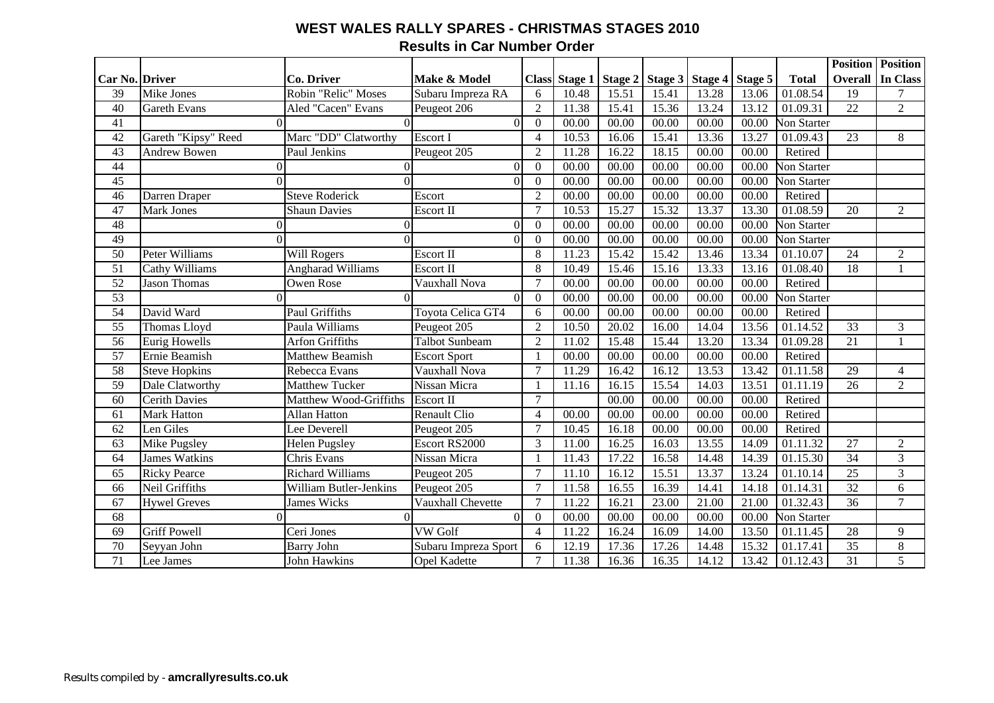#### **WEST WALES RALLY SPARES - CHRISTMAS STAGES 2010 Results in Car Number Order**

|                 |                      |                          |                       |                |               |       |                                       |       |       |                       |                 | <b>Position Position</b> |
|-----------------|----------------------|--------------------------|-----------------------|----------------|---------------|-------|---------------------------------------|-------|-------|-----------------------|-----------------|--------------------------|
| Car No. Driver  |                      | <b>Co. Driver</b>        | Make & Model          |                | Class Stage 1 |       | Stage 2   Stage 3   Stage 4   Stage 5 |       |       | <b>Total</b>          | <b>Overall</b>  | In Class                 |
| 39              | Mike Jones           | Robin "Relic" Moses      | Subaru Impreza RA     | 6              | 10.48         | 15.51 | 15.41                                 | 13.28 | 13.06 | 01.08.54              | 19              | 7                        |
| 40              | <b>Gareth Evans</b>  | Aled "Cacen" Evans       | Peugeot 206           | $\overline{2}$ | 11.38         | 15.41 | 15.36                                 | 13.24 | 13.12 | 01.09.31              | $\overline{22}$ | $\overline{2}$           |
| 41              | $\Omega$             |                          | $\overline{0}$        | $\overline{0}$ | 00.00         | 00.00 | 00.00                                 | 00.00 | 00.00 | <b>Non Starter</b>    |                 |                          |
| 42              | Gareth "Kipsy" Reed  | Marc "DD" Clatworthy     | <b>Escort I</b>       | $\overline{4}$ | 10.53         | 16.06 | 15.41                                 | 13.36 | 13.27 | 01.09.43              | 23              | 8                        |
| 43              | <b>Andrew Bowen</b>  | Paul Jenkins             | Peugeot 205           | $\overline{2}$ | 11.28         | 16.22 | 18.15                                 | 00.00 | 00.00 | Retired               |                 |                          |
| 44              | $\Omega$             | $\Omega$                 | $\overline{0}$        | $\Omega$       | 00.00         | 00.00 | 00.00                                 | 00.00 | 00.00 | <b>Non Starter</b>    |                 |                          |
| 45              | $\Omega$             |                          | $\overline{0}$        | $\theta$       | 00.00         | 00.00 | 00.00                                 | 00.00 | 00.00 | <b>Non Starter</b>    |                 |                          |
| 46              | Darren Draper        | <b>Steve Roderick</b>    | Escort                | 2              | 00.00         | 00.00 | 00.00                                 | 00.00 | 00.00 | Retired               |                 |                          |
| 47              | <b>Mark Jones</b>    | <b>Shaun Davies</b>      | Escort II             | $\overline{7}$ | 10.53         | 15.27 | 15.32                                 | 13.37 | 13.30 | 01.08.59              | 20              | $\overline{2}$           |
| 48              | $\Omega$             | 0                        | $\Omega$              | $\Omega$       | 00.00         | 00.00 | 00.00                                 | 00.00 | 00.00 | <b>Non Starter</b>    |                 |                          |
| 49              | $\Omega$             | $\Omega$                 | $\Omega$              | $\overline{0}$ | 00.00         | 00.00 | 00.00                                 | 00.00 | 00.00 | <b>Non Starter</b>    |                 |                          |
| 50              | Peter Williams       | Will Rogers              | <b>Escort II</b>      | 8              | 11.23         | 15.42 | 15.42                                 | 13.46 | 13.34 | 01.10.07              | 24              | $\overline{2}$           |
| 51              | Cathy Williams       | <b>Angharad Williams</b> | Escort II             | 8              | 10.49         | 15.46 | 15.16                                 | 13.33 | 13.16 | 01.08.40              | 18              |                          |
| $\overline{52}$ | <b>Jason Thomas</b>  | Owen Rose                | Vauxhall Nova         | $\overline{7}$ | 00.00         | 00.00 | 00.00                                 | 00.00 | 00.00 | Retired               |                 |                          |
| $\overline{53}$ |                      |                          | $\overline{0}$        | $\overline{0}$ | 00.00         | 00.00 | 00.00                                 | 00.00 | 00.00 | <b>Non Starter</b>    |                 |                          |
| 54              | David Ward           | Paul Griffiths           | Toyota Celica GT4     | 6              | 00.00         | 00.00 | 00.00                                 | 00.00 | 00.00 | Retired               |                 |                          |
| $\overline{55}$ | <b>Thomas Lloyd</b>  | Paula Williams           | Peugeot 205           | $\overline{2}$ | 10.50         | 20.02 | 16.00                                 | 14.04 | 13.56 | 01.14.52              | $\overline{33}$ | 3                        |
| $\overline{56}$ | <b>Eurig Howells</b> | <b>Arfon Griffiths</b>   | <b>Talbot Sunbeam</b> | $\overline{2}$ | 11.02         | 15.48 | 15.44                                 | 13.20 | 13.34 | 01.09.28              | 21              |                          |
| $\overline{57}$ | Ernie Beamish        | <b>Matthew Beamish</b>   | <b>Escort Sport</b>   | $\mathbf{1}$   | 00.00         | 00.00 | 00.00                                 | 00.00 | 00.00 | Retired               |                 |                          |
| $\overline{58}$ | <b>Steve Hopkins</b> | Rebecca Evans            | Vauxhall Nova         | $\overline{7}$ | 11.29         | 16.42 | 16.12                                 | 13.53 | 13.42 | 01.11.58              | 29              | $\overline{4}$           |
| 59              | Dale Clatworthy      | <b>Matthew Tucker</b>    | Nissan Micra          |                | 11.16         | 16.15 | 15.54                                 | 14.03 | 13.51 | 01.11.19              | 26              | $\overline{2}$           |
| 60              | <b>Cerith Davies</b> | Matthew Wood-Griffiths   | Escort II             | $\overline{7}$ |               | 00.00 | 00.00                                 | 00.00 | 00.00 | Retired               |                 |                          |
| 61              | <b>Mark Hatton</b>   | <b>Allan Hatton</b>      | <b>Renault Clio</b>   | $\overline{4}$ | 00.00         | 00.00 | 00.00                                 | 00.00 | 00.00 | Retired               |                 |                          |
| $\overline{62}$ | Len Giles            | Lee Deverell             | Peugeot 205           | $\tau$         | 10.45         | 16.18 | 00.00                                 | 00.00 | 00.00 | Retired               |                 |                          |
| 63              | Mike Pugsley         | <b>Helen Pugsley</b>     | Escort RS2000         | 3              | 11.00         | 16.25 | 16.03                                 | 13.55 | 14.09 | $01.1\overline{1.32}$ | $\overline{27}$ | $\overline{2}$           |
| 64              | <b>James Watkins</b> | Chris Evans              | Nissan Micra          |                | 11.43         | 17.22 | 16.58                                 | 14.48 | 14.39 | 01.15.30              | 34              | 3                        |
| 65              | <b>Ricky Pearce</b>  | <b>Richard Williams</b>  | Peugeot 205           | $\overline{7}$ | 11.10         | 16.12 | 15.51                                 | 13.37 | 13.24 | 01.10.14              | $\overline{25}$ | 3                        |
| 66              | Neil Griffiths       | William Butler-Jenkins   | Peugeot 205           | $\overline{7}$ | 11.58         | 16.55 | 16.39                                 | 14.41 | 14.18 | 01.14.31              | 32              | 6                        |
| 67              | <b>Hywel Greves</b>  | James Wicks              | Vauxhall Chevette     | $\overline{7}$ | 11.22         | 16.21 | 23.00                                 | 21.00 | 21.00 | 01.32.43              | 36              | $\overline{7}$           |
| 68              | $\Omega$             |                          | $\overline{0}$        | $\overline{0}$ | 00.00         | 00.00 | 00.00                                 | 00.00 | 00.00 | <b>Non Starter</b>    |                 |                          |
| 69              | <b>Griff Powell</b>  | Ceri Jones               | <b>VW</b> Golf        | $\overline{4}$ | 11.22         | 16.24 | 16.09                                 | 14.00 | 13.50 | 01.11.45              | $\overline{28}$ | 9                        |
| 70              | Seyyan John          | <b>Barry John</b>        | Subaru Impreza Sport  | 6              | 12.19         | 17.36 | 17.26                                 | 14.48 | 15.32 | 01.17.41              | 35              | $8\,$                    |
| 71              | Lee James            | <b>John Hawkins</b>      | <b>Opel Kadette</b>   | $\overline{7}$ | 11.38         | 16.36 | 16.35                                 | 14.12 | 13.42 | 01.12.43              | 31              | $\overline{5}$           |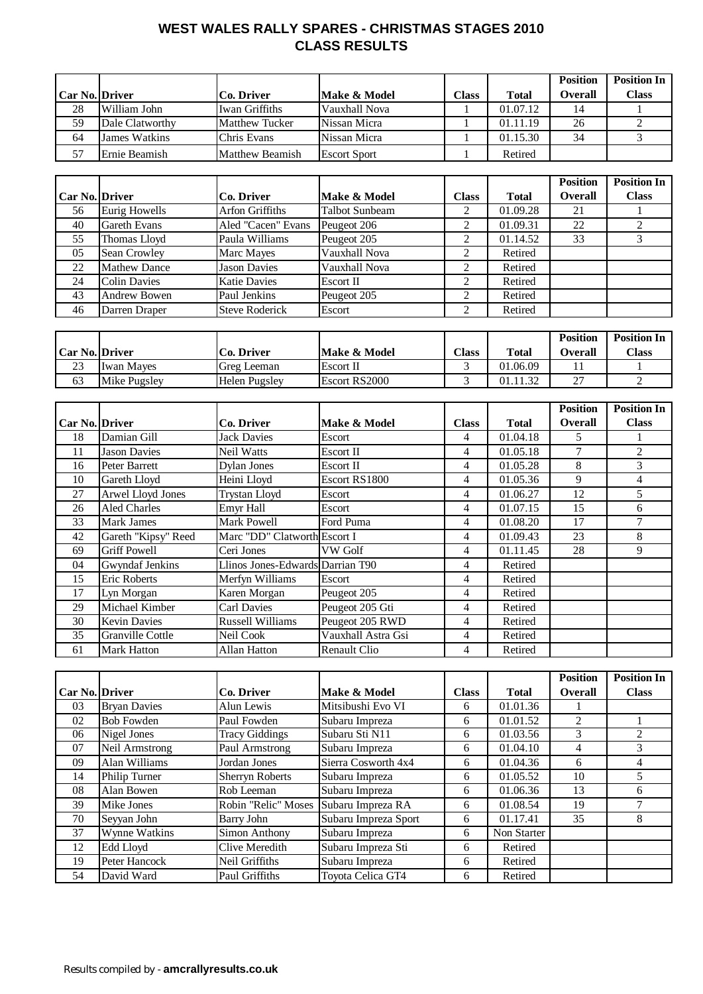## **WEST WALES RALLY SPARES - CHRISTMAS STAGES 2010 CLASS RESULTS**

|                       |                 |                        |                     |              |               | <b>Position</b> | <b>Position In</b> |
|-----------------------|-----------------|------------------------|---------------------|--------------|---------------|-----------------|--------------------|
| <b>Car No. Driver</b> |                 | <b>Co. Driver</b>      | Make & Model        | <b>Class</b> | <b>T</b> otal | <b>Overall</b>  | <b>Class</b>       |
| 28                    | William John    | Iwan Griffiths         | Vauxhall Nova       |              | 01.07.12      | 14              |                    |
| 59                    | Dale Clatworthy | <b>Matthew Tucker</b>  | Nissan Micra        |              | 01.11.19      | 26              |                    |
| 64                    | James Watkins   | Chris Evans            | Nissan Micra        |              | 01.15.30      | 34              |                    |
| 57                    | Ernie Beamish   | <b>Matthew Beamish</b> | <b>Escort Sport</b> |              | Retired       |                 |                    |

|                       |                     |                        |                       |              |              | <b>Position</b> | <b>Position In</b> |
|-----------------------|---------------------|------------------------|-----------------------|--------------|--------------|-----------------|--------------------|
| <b>Car No. Driver</b> |                     | Co. Driver             | Make & Model          | <b>Class</b> | <b>Total</b> | <b>Overall</b>  | <b>Class</b>       |
| 56                    | Eurig Howells       | <b>Arfon Griffiths</b> | <b>Talbot Sunbeam</b> | 2            | 01.09.28     | 21              |                    |
| 40                    | <b>Gareth Evans</b> | Aled "Cacen" Evans     | Peugeot 206           | 2            | 01.09.31     | 22              |                    |
| 55                    | Thomas Lloyd        | Paula Williams         | Peugeot 205           | ↑            | 01.14.52     | 33              |                    |
| 05                    | Sean Crowley        | Marc Mayes             | Vauxhall Nova         | 2            | Retired      |                 |                    |
| 22                    | <b>Mathew Dance</b> | <b>Jason Davies</b>    | Vauxhall Nova         | $\gamma$     | Retired      |                 |                    |
| 24                    | <b>Colin Davies</b> | <b>Katie Davies</b>    | <b>Escort II</b>      | 2            | Retired      |                 |                    |
| 43                    | <b>Andrew Bowen</b> | Paul Jenkins           | Peugeot 205           | 2            | Retired      |                 |                    |
| 46                    | Darren Draper       | <b>Steve Roderick</b>  | Escort                | ↑            | Retired      |                 |                    |

|                       |                   |                   |                  |              |          | <b>Position</b> | <b>Position In</b> |
|-----------------------|-------------------|-------------------|------------------|--------------|----------|-----------------|--------------------|
| <b>Car No. Driver</b> |                   | <b>Co. Driver</b> | Make & Model     | <b>Class</b> | Total    | <b>Overall</b>  | Class              |
| 23                    | <b>Iwan Mayes</b> | Greg Leeman       | <b>Escort II</b> |              | 01.06.09 |                 |                    |
| 63                    | Mike Pugsley      | Helen Pugsley     | Escort RS2000    |              | 01.11.32 | ^7<br><u>.</u>  |                    |

|                       |                     |                                  |                    |              |              | <b>Position</b> | <b>Position In</b> |
|-----------------------|---------------------|----------------------------------|--------------------|--------------|--------------|-----------------|--------------------|
| <b>Car No. Driver</b> |                     | Co. Driver                       | Make & Model       | <b>Class</b> | <b>Total</b> | Overall         | <b>Class</b>       |
| 18                    | Damian Gill         | Jack Davies                      | Escort             | 4            | 01.04.18     | 5.              |                    |
| 11                    | <b>Jason Davies</b> | Neil Watts                       | Escort II          | 4            | 01.05.18     | 7               | 2                  |
| 16                    | Peter Barrett       | Dylan Jones                      | Escort II          | 4            | 01.05.28     | 8               | 3                  |
| 10                    | Gareth Lloyd        | Heini Lloyd                      | Escort RS1800      | 4            | 01.05.36     | 9               | 4                  |
| 27                    | Arwel Lloyd Jones   | <b>Trystan Lloyd</b>             | Escort             | 4            | 01.06.27     | 12              | 5                  |
| 26                    | <b>Aled Charles</b> | Emyr Hall                        | Escort             | 4            | 01.07.15     | 15              | 6                  |
| 33                    | <b>Mark James</b>   | <b>Mark Powell</b>               | Ford Puma          | 4            | 01.08.20     | 17              | 7                  |
| 42                    | Gareth "Kipsy" Reed | Marc "DD" Clatworth Escort I     |                    | 4            | 01.09.43     | 23              | 8                  |
| 69                    | <b>Griff Powell</b> | Ceri Jones                       | VW Golf            | 4            | 01.11.45     | 28              | 9                  |
| 04                    | Gwyndaf Jenkins     | Llinos Jones-Edwards Darrian T90 |                    | 4            | Retired      |                 |                    |
| 15                    | Eric Roberts        | Merfyn Williams                  | Escort             | 4            | Retired      |                 |                    |
| 17                    | Lyn Morgan          | Karen Morgan                     | Peugeot 205        | 4            | Retired      |                 |                    |
| 29                    | Michael Kimber      | <b>Carl Davies</b>               | Peugeot 205 Gti    | 4            | Retired      |                 |                    |
| 30                    | <b>Kevin Davies</b> | <b>Russell Williams</b>          | Peugeot 205 RWD    | 4            | Retired      |                 |                    |
| 35                    | Granville Cottle    | Neil Cook                        | Vauxhall Astra Gsi | 4            | Retired      |                 |                    |
| 61                    | Mark Hatton         | Allan Hatton                     | Renault Clio       | 4            | Retired      |                 |                    |

|                       |                     |                                       |                      |              |              | <b>Position</b> | <b>Position In</b> |
|-----------------------|---------------------|---------------------------------------|----------------------|--------------|--------------|-----------------|--------------------|
| <b>Car No. Driver</b> |                     | Co. Driver                            | Make & Model         | <b>Class</b> | <b>Total</b> | <b>Overall</b>  | <b>Class</b>       |
| 03                    | <b>Bryan Davies</b> | Alun Lewis                            | Mitsibushi Evo VI    | 6            | 01.01.36     |                 |                    |
| 02                    | <b>Bob Fowden</b>   | Paul Fowden                           | Subaru Impreza       | 6            | 01.01.52     | 2               |                    |
| 06                    | Nigel Jones         | <b>Tracy Giddings</b>                 | Subaru Sti N11       | 6            | 01.03.56     | 3               | 2                  |
| 07                    | Neil Armstrong      | Paul Armstrong                        | Subaru Impreza       | 6            | 01.04.10     | 4               | 3                  |
| 09                    | Alan Williams       | Jordan Jones                          | Sierra Cosworth 4x4  | 6            | 01.04.36     | 6               | 4                  |
| 14                    | Philip Turner       | <b>Sherryn Roberts</b>                | Subaru Impreza       | 6            | 01.05.52     | 10              |                    |
| 08                    | Alan Bowen          | Rob Leeman                            | Subaru Impreza       | 6            | 01.06.36     | 13              | 6                  |
| 39                    | Mike Jones          | Robin "Relic" Moses Subaru Impreza RA |                      | 6            | 01.08.54     | 19              |                    |
| 70                    | Seyyan John         | Barry John                            | Subaru Impreza Sport | 6            | 01.17.41     | 35              | 8                  |
| 37                    | Wynne Watkins       | Simon Anthony                         | Subaru Impreza       | 6            | Non Starter  |                 |                    |
| 12                    | Edd Lloyd           | Clive Meredith                        | Subaru Impreza Sti   | 6            | Retired      |                 |                    |
| 19                    | Peter Hancock       | Neil Griffiths                        | Subaru Impreza       | 6            | Retired      |                 |                    |
| 54                    | David Ward          | Paul Griffiths                        | Toyota Celica GT4    | 6            | Retired      |                 |                    |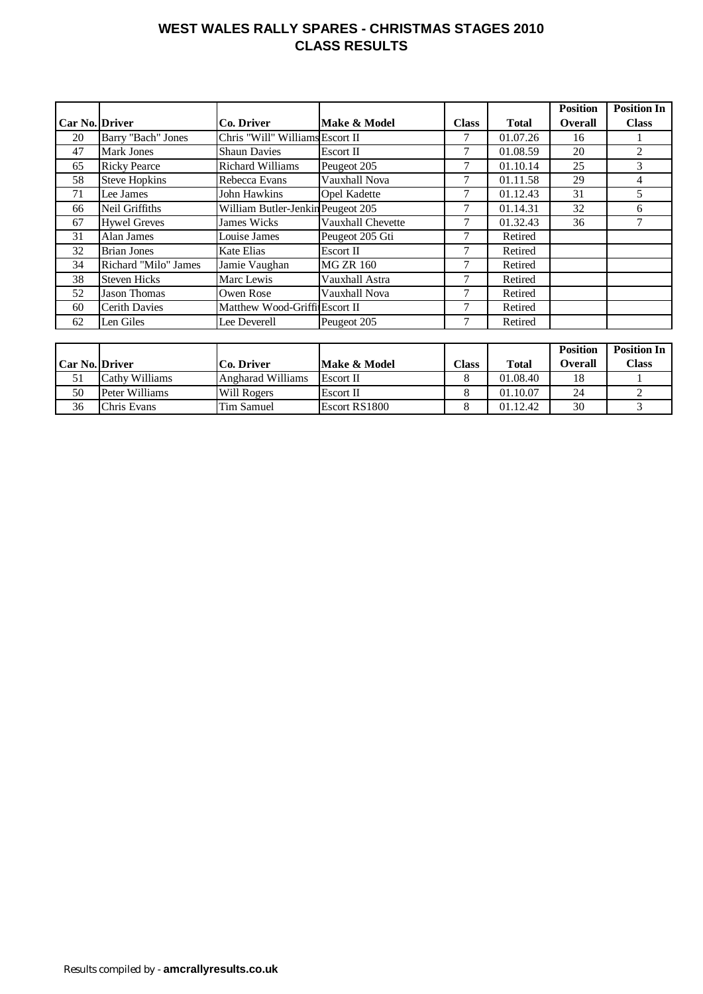### **WEST WALES RALLY SPARES - CHRISTMAS STAGES 2010 CLASS RESULTS**

|                       |                      |                                   |                     |              |              | <b>Position</b> | <b>Position In</b> |
|-----------------------|----------------------|-----------------------------------|---------------------|--------------|--------------|-----------------|--------------------|
| <b>Car No. Driver</b> |                      | Co. Driver                        | Make & Model        | <b>Class</b> | <b>Total</b> | <b>Overall</b>  | <b>Class</b>       |
| 20                    | Barry "Bach" Jones   | Chris "Will" Williams Escort II   |                     |              | 01.07.26     | 16              |                    |
| 47                    | Mark Jones           | <b>Shaun Davies</b>               | Escort II           |              | 01.08.59     | 20              | 2                  |
| 65                    | <b>Ricky Pearce</b>  | <b>Richard Williams</b>           | Peugeot 205         | 7            | 01.10.14     | 25              | 3                  |
| 58                    | <b>Steve Hopkins</b> | Rebecca Evans                     | Vauxhall Nova       | 7            | 01.11.58     | 29              | 4                  |
| 71                    | Lee James            | <b>John Hawkins</b>               | <b>Opel Kadette</b> | 7            | 01.12.43     | 31              | 5                  |
| 66                    | Neil Griffiths       | William Butler-Jenkin Peugeot 205 |                     | 7            | 01.14.31     | 32              | 6                  |
| 67                    | <b>Hywel Greves</b>  | <b>James Wicks</b>                | Vauxhall Chevette   | 7            | 01.32.43     | 36              | 7                  |
| 31                    | Alan James           | Louise James                      | Peugeot 205 Gti     | 7            | Retired      |                 |                    |
| 32                    | <b>Brian Jones</b>   | Kate Elias                        | Escort II           | 7            | Retired      |                 |                    |
| 34                    | Richard "Milo" James | Jamie Vaughan                     | <b>MG ZR 160</b>    | 7            | Retired      |                 |                    |
| 38                    | <b>Steven Hicks</b>  | Marc Lewis                        | Vauxhall Astra      | 7            | Retired      |                 |                    |
| 52                    | Jason Thomas         | Owen Rose                         | Vauxhall Nova       | 7            | Retired      |                 |                    |
| 60                    | <b>Cerith Davies</b> | Matthew Wood-Griffi Escort II     |                     |              | Retired      |                 |                    |
| 62                    | Len Giles            | Lee Deverell                      | Peugeot 205         | 7            | Retired      |                 |                    |

|                       |                |                          |                  |                |          | <b>Position</b> | <b>Position In</b> |
|-----------------------|----------------|--------------------------|------------------|----------------|----------|-----------------|--------------------|
| <b>Car No. Driver</b> |                | Co. Driver               | Make & Model     | $\text{Class}$ | Total    | Overall         | Class              |
| 51                    | Cathy Williams | <b>Angharad Williams</b> | <b>Escort II</b> |                | 01.08.40 | 18              |                    |
| 50                    | Peter Williams | <b>Will Rogers</b>       | Escort II        |                | 01.10.07 | 24              |                    |
| 36                    | Chris Evans    | <b>Tim Samuel</b>        | Escort RS1800    |                | 01.12.42 | 30              |                    |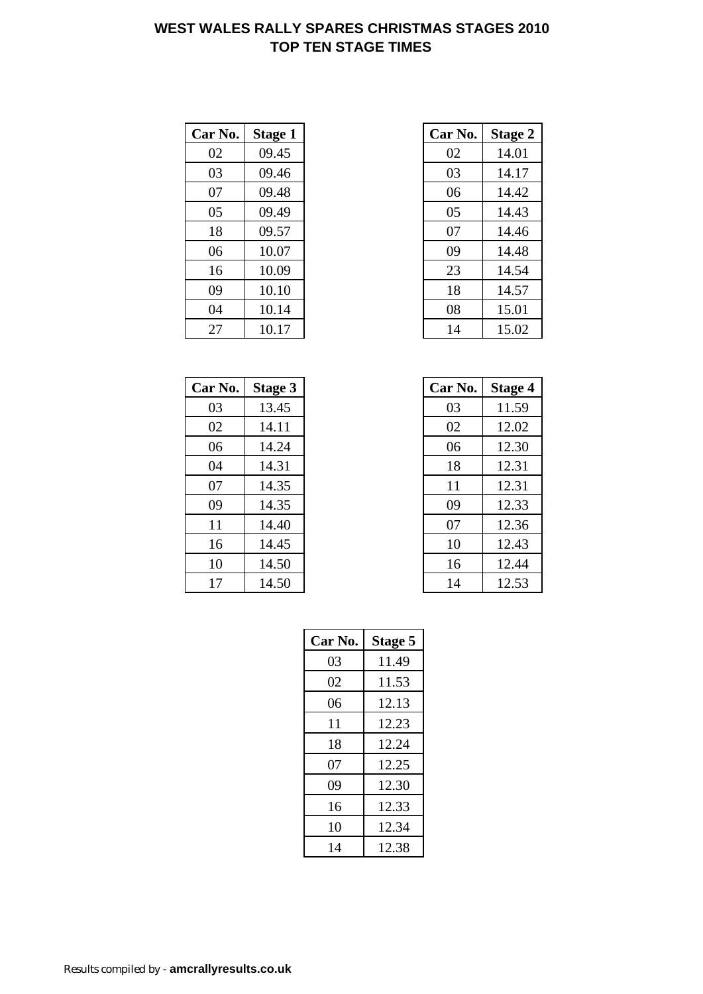### **WEST WALES RALLY SPARES CHRISTMAS STAGES 2010 TOP TEN STAGE TIMES**

| Car No. | <b>Stage 1</b> | Car No. | <b>Stage 2</b> |
|---------|----------------|---------|----------------|
| 02      | 09.45          | 02      | 14.01          |
| 03      | 09.46          | 03      | 14.17          |
| 07      | 09.48          | 06      | 14.42          |
| 05      | 09.49          | 05      | 14.43          |
| 18      | 09.57          | 07      | 14.46          |
| 06      | 10.07          | 09      | 14.48          |
| 16      | 10.09          | 23      | 14.54          |
| 09      | 10.10          | 18      | 14.57          |
| 04      | 10.14          | 08      | 15.01          |
| 27      | 10.17          | 14      | 15.02          |

| Car No. | Stage 3 | Car No. | <b>Stage 4</b> |
|---------|---------|---------|----------------|
| 03      | 13.45   | 03      | 11.59          |
| 02      | 14.11   | 02      | 12.02          |
| 06      | 14.24   | 06      | 12.30          |
| 04      | 14.31   | 18      | 12.31          |
| 07      | 14.35   | 11      | 12.31          |
| 09      | 14.35   | 09      | 12.33          |
| 11      | 14.40   | 07      | 12.36          |
| 16      | 14.45   | 10      | 12.43          |
| 10      | 14.50   | 16      | 12.44          |
| 17      | 14.50   | 14      | 12.53          |

| r No. | <b>Stage 1</b> | Car No. | <b>Stage 2</b> |
|-------|----------------|---------|----------------|
| 02    | 09.45          | 02      | 14.01          |
| 03    | 09.46          | 03      | 14.17          |
| 07    | 09.48          | 06      | 14.42          |
| 05    | 09.49          | 05      | 14.43          |
| 18    | 09.57          | 07      | 14.46          |
| 06    | 10.07          | 09      | 14.48          |
| 16    | 10.09          | 23      | 14.54          |
| 09    | 10.10          | 18      | 14.57          |
| 04    | 10.14          | 08      | 15.01          |
| 27    | 10.17          | 14      | 15.02          |

| r No. | Stage 3 | Car No. | <b>Stage 4</b> |
|-------|---------|---------|----------------|
| 03    | 13.45   | 03      | 11.59          |
| 02    | 14.11   | 02      | 12.02          |
| 06    | 14.24   | 06      | 12.30          |
| 04    | 14.31   | 18      | 12.31          |
| 07    | 14.35   | 11      | 12.31          |
| 09    | 14.35   | 09      | 12.33          |
| 11    | 14.40   | 07      | 12.36          |
| 16    | 14.45   | 10      | 12.43          |
| 10    | 14.50   | 16      | 12.44          |
| 17    | 14.50   | 14      | 12.53          |

| Car No. | <b>Stage 5</b> |
|---------|----------------|
| 03      | 11.49          |
| 02      | 11.53          |
| 06      | 12.13          |
| 11      | 12.23          |
| 18      | 12.24          |
| 07      | 12.25          |
| 09      | 12.30          |
| 16      | 12.33          |
| 10      | 12.34          |
| 14      | 12.38          |